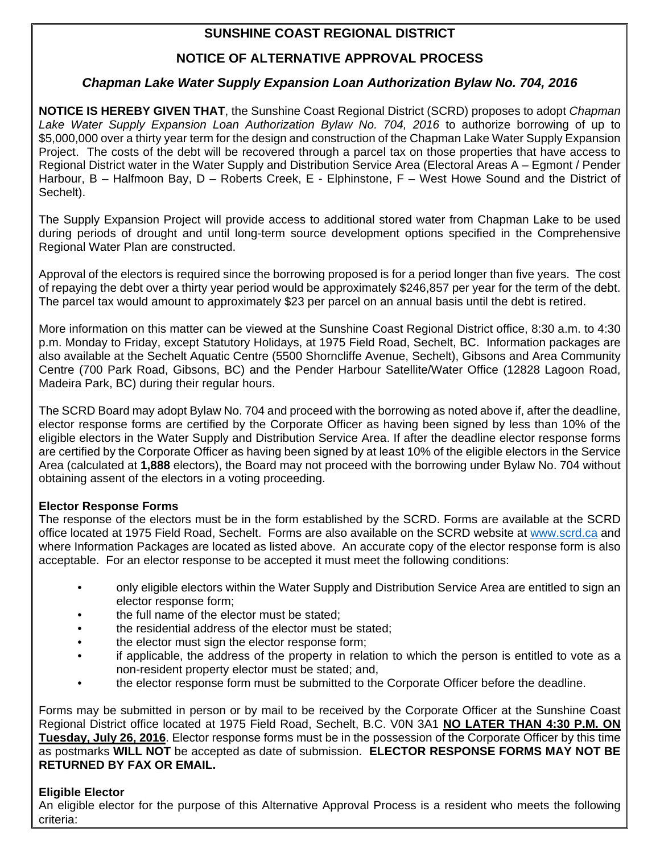# **SUNSHINE COAST REGIONAL DISTRICT**

# **NOTICE OF ALTERNATIVE APPROVAL PROCESS**

# *Chapman Lake Water Supply Expansion Loan Authorization Bylaw No. 704, 2016*

**NOTICE IS HEREBY GIVEN THAT**, the Sunshine Coast Regional District (SCRD) proposes to adopt *Chapman Lake Water Supply Expansion Loan Authorization Bylaw No. 704, 2016* to authorize borrowing of up to \$5,000,000 over a thirty year term for the design and construction of the Chapman Lake Water Supply Expansion Project. The costs of the debt will be recovered through a parcel tax on those properties that have access to Regional District water in the Water Supply and Distribution Service Area (Electoral Areas A – Egmont / Pender Harbour, B – Halfmoon Bay, D – Roberts Creek, E - Elphinstone, F – West Howe Sound and the District of Sechelt).

The Supply Expansion Project will provide access to additional stored water from Chapman Lake to be used during periods of drought and until long-term source development options specified in the Comprehensive Regional Water Plan are constructed.

Approval of the electors is required since the borrowing proposed is for a period longer than five years. The cost of repaying the debt over a thirty year period would be approximately \$246,857 per year for the term of the debt. The parcel tax would amount to approximately \$23 per parcel on an annual basis until the debt is retired.

More information on this matter can be viewed at the Sunshine Coast Regional District office, 8:30 a.m. to 4:30 p.m. Monday to Friday, except Statutory Holidays, at 1975 Field Road, Sechelt, BC. Information packages are also available at the Sechelt Aquatic Centre (5500 Shorncliffe Avenue, Sechelt), Gibsons and Area Community Centre (700 Park Road, Gibsons, BC) and the Pender Harbour Satellite/Water Office (12828 Lagoon Road, Madeira Park, BC) during their regular hours.

The SCRD Board may adopt Bylaw No. 704 and proceed with the borrowing as noted above if, after the deadline, elector response forms are certified by the Corporate Officer as having been signed by less than 10% of the eligible electors in the Water Supply and Distribution Service Area. If after the deadline elector response forms are certified by the Corporate Officer as having been signed by at least 10% of the eligible electors in the Service Area (calculated at **1,888** electors), the Board may not proceed with the borrowing under Bylaw No. 704 without obtaining assent of the electors in a voting proceeding.

### **Elector Response Forms**

The response of the electors must be in the form established by the SCRD. Forms are available at the SCRD office located at 1975 Field Road, Sechelt. Forms are also available on the SCRD website at www.scrd.ca and where Information Packages are located as listed above. An accurate copy of the elector response form is also acceptable. For an elector response to be accepted it must meet the following conditions:

- only eligible electors within the Water Supply and Distribution Service Area are entitled to sign an elector response form;
- the full name of the elector must be stated;
- the residential address of the elector must be stated:
- the elector must sign the elector response form:
- if applicable, the address of the property in relation to which the person is entitled to vote as a non-resident property elector must be stated; and,
- the elector response form must be submitted to the Corporate Officer before the deadline.

Forms may be submitted in person or by mail to be received by the Corporate Officer at the Sunshine Coast Regional District office located at 1975 Field Road, Sechelt, B.C. V0N 3A1 **NO LATER THAN 4:30 P.M. ON Tuesday, July 26, 2016**. Elector response forms must be in the possession of the Corporate Officer by this time as postmarks **WILL NOT** be accepted as date of submission. **ELECTOR RESPONSE FORMS MAY NOT BE RETURNED BY FAX OR EMAIL.** 

### **Eligible Elector**

An eligible elector for the purpose of this Alternative Approval Process is a resident who meets the following criteria: